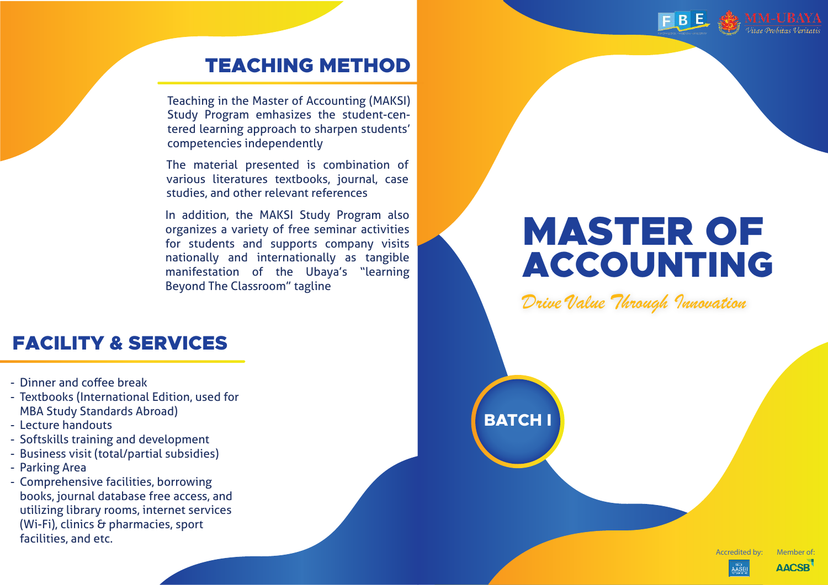

## TEACHING METHOD

Teaching in the Master of Accounting (MAKSI) Study Program emhasizes the student-centered learning approach to sharpen students' competencies independently

The material presented is combination of various literatures textbooks, journal, case studies, and other relevant references

In addition, the MAKSI Study Program also organizes a variety of free seminar activities for students and supports company visits nationally and internationally as tangible manifestation of the Ubaya's "learning Beyond The Classroom" tagline

## FACILITY & SERVICES

- Dinner and coffee break -
- Textbooks (International Edition, used for MBA Study Standards Abroad)
- Lecture handouts -
- Softskills training and development
- Business visit (total/partial subsidies) -
- Parking Area -
- Comprehensive facilities, borrowing books, journal database free access, and utilizing library rooms, internet services (Wi-Fi), clinics & pharmacies, sport facilities, and etc.

# MASTER OF ACCOUNTING

Drive Value Through Innovation

**BATCH I**

Accredited by: Member of